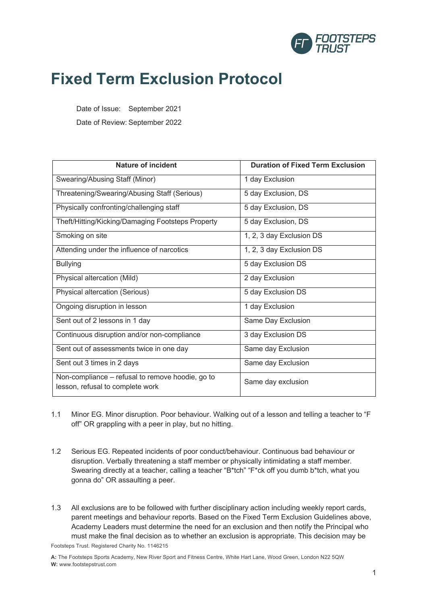

## **Fixed Term Exclusion Protocol**

Date of Issue: September 2021

Date of Review: September 2022

| <b>Nature of incident</b>                                                            | <b>Duration of Fixed Term Exclusion</b> |
|--------------------------------------------------------------------------------------|-----------------------------------------|
| Swearing/Abusing Staff (Minor)                                                       | 1 day Exclusion                         |
| Threatening/Swearing/Abusing Staff (Serious)                                         | 5 day Exclusion, DS                     |
| Physically confronting/challenging staff                                             | 5 day Exclusion, DS                     |
| Theft/Hitting/Kicking/Damaging Footsteps Property                                    | 5 day Exclusion, DS                     |
| Smoking on site                                                                      | 1, 2, 3 day Exclusion DS                |
| Attending under the influence of narcotics                                           | 1, 2, 3 day Exclusion DS                |
| <b>Bullying</b>                                                                      | 5 day Exclusion DS                      |
| Physical altercation (Mild)                                                          | 2 day Exclusion                         |
| Physical altercation (Serious)                                                       | 5 day Exclusion DS                      |
| Ongoing disruption in lesson                                                         | 1 day Exclusion                         |
| Sent out of 2 lessons in 1 day                                                       | Same Day Exclusion                      |
| Continuous disruption and/or non-compliance                                          | 3 day Exclusion DS                      |
| Sent out of assessments twice in one day                                             | Same day Exclusion                      |
| Sent out 3 times in 2 days                                                           | Same day Exclusion                      |
| Non-compliance – refusal to remove hoodie, go to<br>lesson, refusal to complete work | Same day exclusion                      |

- 1.1 Minor EG. Minor disruption. Poor behaviour. Walking out of a lesson and telling a teacher to "F off" OR grappling with a peer in play, but no hitting.
- 1.2 Serious EG. Repeated incidents of poor conduct/behaviour. Continuous bad behaviour or disruption. Verbally threatening a staff member or physically intimidating a staff member. Swearing directly at a teacher, calling a teacher "B\*tch" "F\*ck off you dumb b\*tch, what you gonna do" OR assaulting a peer.
- 1.3 All exclusions are to be followed with further disciplinary action including weekly report cards, parent meetings and behaviour reports. Based on the Fixed Term Exclusion Guidelines above, Academy Leaders must determine the need for an exclusion and then notify the Principal who must make the final decision as to whether an exclusion is appropriate. This decision may be

Footsteps Trust. Registered Charity No. 1146215

**A:** The Footsteps Sports Academy, New River Sport and Fitness Centre, White Hart Lane, Wood Green, London N22 5QW **W:** www.footstepstrust.com